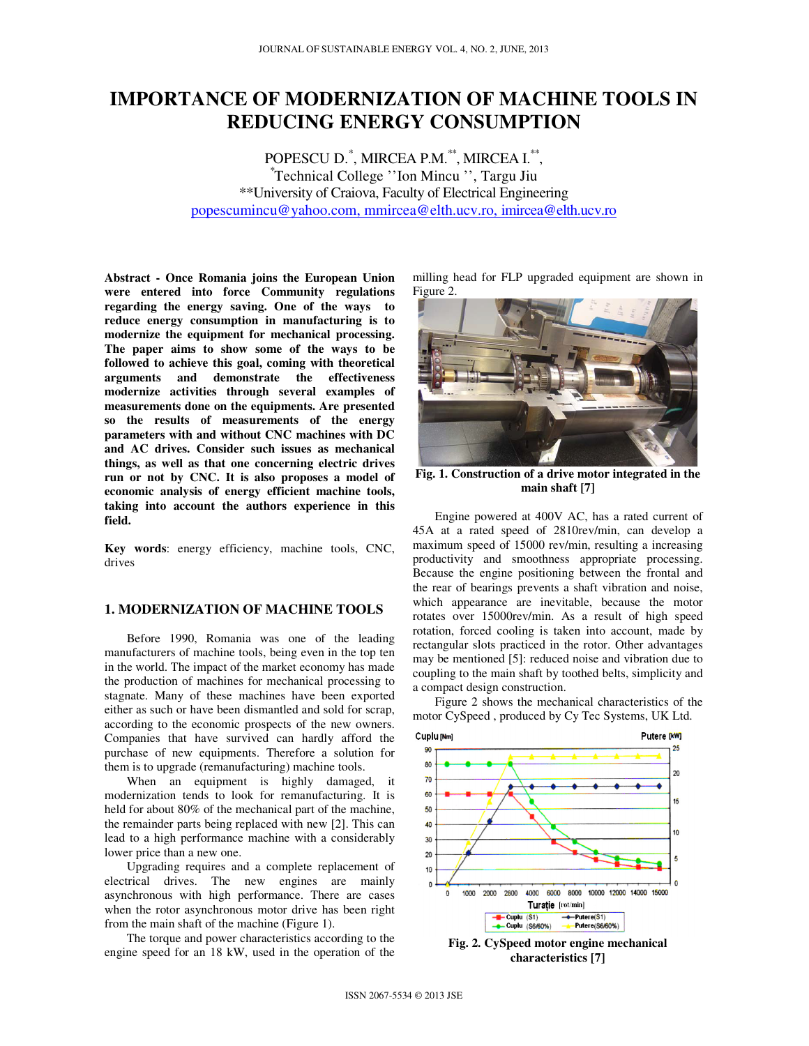# **IMPORTANCE OF MODERNIZATION OF MACHINE TOOLS IN REDUCING ENERGY CONSUMPTION**

POPESCU D.\* , MIRCEA P.M.\*\*, MIRCEA I.\*\* , \*Technical College ''Ion Mincu '', Targu Jiu \*\*University of Craiova, Faculty of Electrical Engineering popescumincu@yahoo.com, mmircea@elth.ucv.ro, imircea@elth.ucv.ro

**Abstract - Once Romania joins the European Union were entered into force Community regulations regarding the energy saving. One of the ways to reduce energy consumption in manufacturing is to modernize the equipment for mechanical processing. The paper aims to show some of the ways to be followed to achieve this goal, coming with theoretical arguments and demonstrate the effectiveness modernize activities through several examples of measurements done on the equipments. Are presented so the results of measurements of the energy parameters with and without CNC machines with DC and AC drives. Consider such issues as mechanical things, as well as that one concerning electric drives run or not by CNC. It is also proposes a model of economic analysis of energy efficient machine tools, taking into account the authors experience in this field.** 

**Key words**: energy efficiency, machine tools, CNC, drives

# **1. MODERNIZATION OF MACHINE TOOLS**

Before 1990, Romania was one of the leading manufacturers of machine tools, being even in the top ten in the world. The impact of the market economy has made the production of machines for mechanical processing to stagnate. Many of these machines have been exported either as such or have been dismantled and sold for scrap, according to the economic prospects of the new owners. Companies that have survived can hardly afford the purchase of new equipments. Therefore a solution for them is to upgrade (remanufacturing) machine tools.

When an equipment is highly damaged, it modernization tends to look for remanufacturing. It is held for about 80% of the mechanical part of the machine, the remainder parts being replaced with new [2]. This can lead to a high performance machine with a considerably lower price than a new one.

Upgrading requires and a complete replacement of electrical drives. The new engines are mainly asynchronous with high performance. There are cases when the rotor asynchronous motor drive has been right from the main shaft of the machine (Figure 1).

The torque and power characteristics according to the engine speed for an 18 kW, used in the operation of the milling head for FLP upgraded equipment are shown in Figure 2.



**Fig. 1. Construction of a drive motor integrated in the main shaft [7]** 

Engine powered at 400V AC, has a rated current of 45A at a rated speed of 2810rev/min, can develop a maximum speed of 15000 rev/min, resulting a increasing productivity and smoothness appropriate processing. Because the engine positioning between the frontal and the rear of bearings prevents a shaft vibration and noise, which appearance are inevitable, because the motor rotates over 15000rev/min. As a result of high speed rotation, forced cooling is taken into account, made by rectangular slots practiced in the rotor. Other advantages may be mentioned [5]: reduced noise and vibration due to coupling to the main shaft by toothed belts, simplicity and a compact design construction.

Figure 2 shows the mechanical characteristics of the motor CySpeed , produced by Cy Tec Systems, UK Ltd.



**Fig. 2. CySpeed motor engine mechanical characteristics [7]**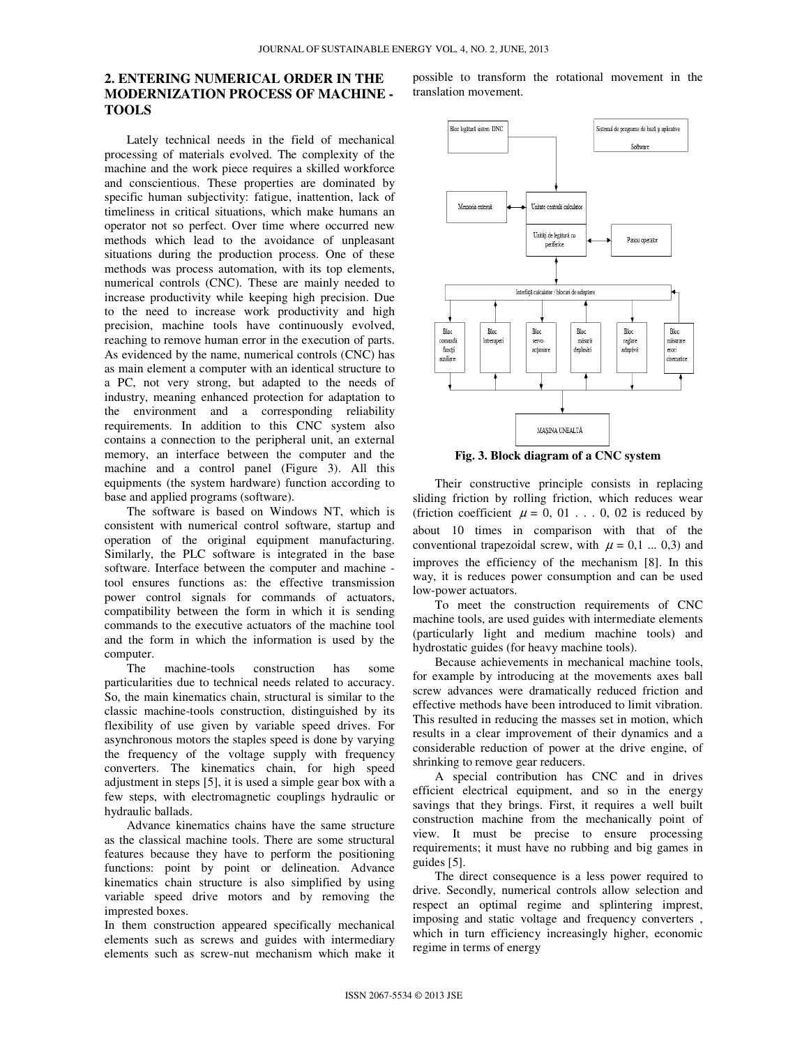# **2. ENTERING NUMERICAL ORDER IN THE MODERNIZATION PROCESS OF MACHINE - TOOLS**

Lately technical needs in the field of mechanical processing of materials evolved. The complexity of the machine and the work piece requires a skilled workforce and conscientious. These properties are dominated by specific human subjectivity: fatigue, inattention, lack of timeliness in critical situations, which make humans an operator not so perfect. Over time where occurred new methods which lead to the avoidance of unpleasant situations during the production process. One of these methods was process automation, with its top elements, numerical controls (CNC). These are mainly needed to increase productivity while keeping high precision. Due to the need to increase work productivity and high precision, machine tools have continuously evolved, reaching to remove human error in the execution of parts. As evidenced by the name, numerical controls (CNC) has as main element a computer with an identical structure to a PC, not very strong, but adapted to the needs of industry, meaning enhanced protection for adaptation to the environment and a corresponding reliability requirements. In addition to this CNC system also contains a connection to the peripheral unit, an external memory, an interface between the computer and the machine and a control panel (Figure 3). All this equipments (the system hardware) function according to base and applied programs (software).

The software is based on Windows NT, which is consistent with numerical control software, startup and operation of the original equipment manufacturing. Similarly, the PLC software is integrated in the base software. Interface between the computer and machine tool ensures functions as: the effective transmission power control signals for commands of actuators, compatibility between the form in which it is sending commands to the executive actuators of the machine tool and the form in which the information is used by the computer.

The machine-tools construction has some particularities due to technical needs related to accuracy. So, the main kinematics chain, structural is similar to the classic machine-tools construction, distinguished by its flexibility of use given by variable speed drives. For asynchronous motors the staples speed is done by varying the frequency of the voltage supply with frequency converters. The kinematics chain, for high speed adjustment in steps [5], it is used a simple gear box with a few steps, with electromagnetic couplings hydraulic or hydraulic ballads.

Advance kinematics chains have the same structure as the classical machine tools. There are some structural features because they have to perform the positioning functions: point by point or delineation. Advance kinematics chain structure is also simplified by using variable speed drive motors and by removing the imprested boxes.

In them construction appeared specifically mechanical elements such as screws and guides with intermediary elements such as screw-nut mechanism which make it possible to transform the rotational movement in the translation movement.



**Fig. 3. Block diagram of a CNC system** 

Their constructive principle consists in replacing sliding friction by rolling friction, which reduces wear (friction coefficient  $\mu = 0, 01$ ... 0, 02 is reduced by about 10 times in comparison with that of the conventional trapezoidal screw, with  $\mu = 0, 1 ... 0, 3$  and improves the efficiency of the mechanism [8]. In this way, it is reduces power consumption and can be used low-power actuators.

To meet the construction requirements of CNC machine tools, are used guides with intermediate elements (particularly light and medium machine tools) and hydrostatic guides (for heavy machine tools).

Because achievements in mechanical machine tools, for example by introducing at the movements axes ball screw advances were dramatically reduced friction and effective methods have been introduced to limit vibration. This resulted in reducing the masses set in motion, which results in a clear improvement of their dynamics and a considerable reduction of power at the drive engine, of shrinking to remove gear reducers.

A special contribution has CNC and in drives efficient electrical equipment, and so in the energy savings that they brings. First, it requires a well built construction machine from the mechanically point of view. It must be precise to ensure processing requirements; it must have no rubbing and big games in guides [5].

The direct consequence is a less power required to drive. Secondly, numerical controls allow selection and respect an optimal regime and splintering imprest, imposing and static voltage and frequency converters , which in turn efficiency increasingly higher, economic regime in terms of energy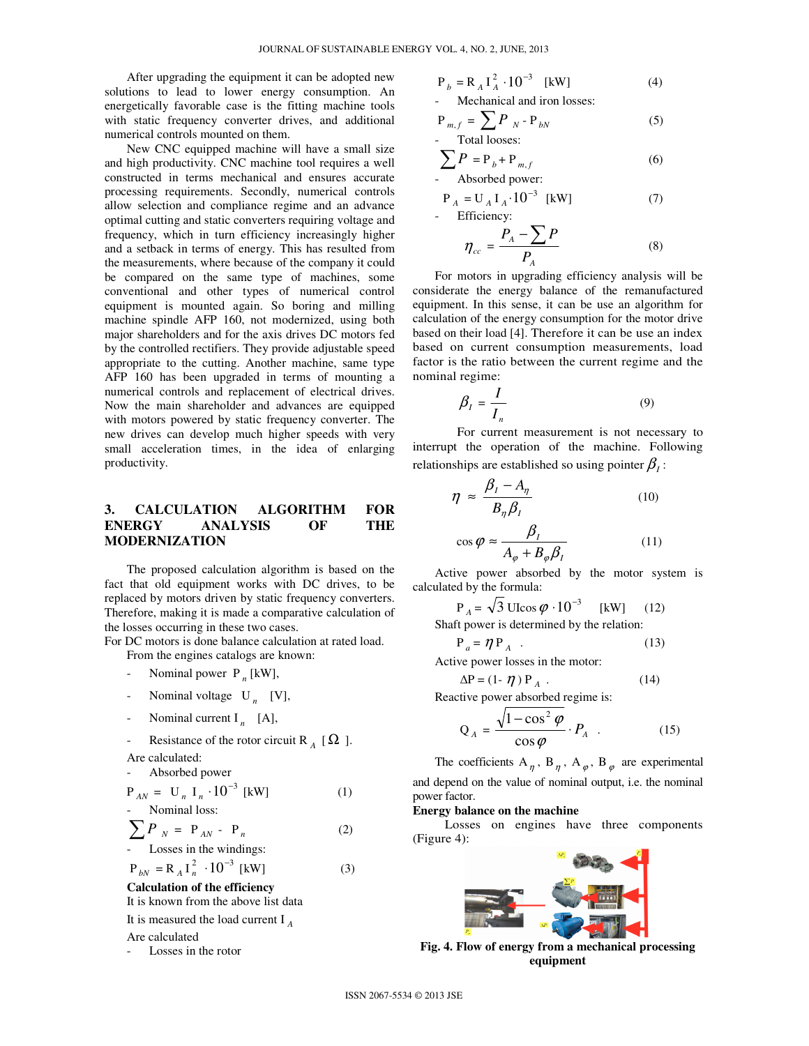After upgrading the equipment it can be adopted new solutions to lead to lower energy consumption. An energetically favorable case is the fitting machine tools with static frequency converter drives, and additional numerical controls mounted on them.

New CNC equipped machine will have a small size and high productivity. CNC machine tool requires a well constructed in terms mechanical and ensures accurate processing requirements. Secondly, numerical controls allow selection and compliance regime and an advance optimal cutting and static converters requiring voltage and frequency, which in turn efficiency increasingly higher and a setback in terms of energy. This has resulted from the measurements, where because of the company it could be compared on the same type of machines, some conventional and other types of numerical control equipment is mounted again. So boring and milling machine spindle AFP 160, not modernized, using both major shareholders and for the axis drives DC motors fed by the controlled rectifiers. They provide adjustable speed appropriate to the cutting. Another machine, same type AFP 160 has been upgraded in terms of mounting a numerical controls and replacement of electrical drives. Now the main shareholder and advances are equipped with motors powered by static frequency converter. The new drives can develop much higher speeds with very small acceleration times, in the idea of enlarging productivity.

# **3. CALCULATION ALGORITHM FOR ENERGY ANALYSIS OF THE MODERNIZATION**

The proposed calculation algorithm is based on the fact that old equipment works with DC drives, to be replaced by motors driven by static frequency converters. Therefore, making it is made a comparative calculation of the losses occurring in these two cases.

For DC motors is done balance calculation at rated load. From the engines catalogs are known:

- Nominal power  $P_n$  [kW],
- Nominal voltage U<sub>n</sub> [V],
- Nominal current  $I_n$  [A],
- Resistance of the rotor circuit R<sub>A</sub> [ $\Omega$ ].

Are calculated:

- Absorbed power

$$
P_{AN} = U_n I_n \cdot 10^{-3} \text{ [kW]}
$$
 (1)  
- Nominal loss:

$$
\sum P_N = P_{AN} - P_n
$$
 (2)  
- Losses in the windings:

$$
P_{bN} = R_A I_n^2 \cdot 10^{-3} [kW]
$$
 (3)

**Calculation of the efficiency** 

It is known from the above list data

It is measured the load current I *<sup>A</sup>*

### Are calculated

Losses in the rotor

$$
P_b = R_A I_A^2 \cdot 10^{-3} \text{ [kW]} \tag{4}
$$

- Mechanical and iron losses:

$$
P_{m,f} = \sum P_N - P_{bN}
$$
 (5)  
- Total losses:

$$
\sum P = P_b + P_{m,f}
$$
 (6)  
Absolute power:

$$
P_A = U_A I_A \cdot 10^{-3} \text{ [kW]} \tag{7}
$$
Efficiency:

$$
\eta_{cc} = \frac{P_A - \sum P}{P_A} \tag{8}
$$

For motors in upgrading efficiency analysis will be considerate the energy balance of the remanufactured equipment. In this sense, it can be use an algorithm for calculation of the energy consumption for the motor drive based on their load [4]. Therefore it can be use an index based on current consumption measurements, load factor is the ratio between the current regime and the nominal regime:

$$
\beta_I = \frac{I}{I_n} \tag{9}
$$

 For current measurement is not necessary to interrupt the operation of the machine. Following relationships are established so using pointer  $\beta_{\scriptscriptstyle I}$  :

$$
\eta \approx \frac{\beta_{I} - A_{\eta}}{B_{\eta} \beta_{I}} \tag{10}
$$
\n
$$
\cos \varphi \approx \frac{\beta_{I}}{A_{\varphi} + B_{\varphi} \beta_{I}} \tag{11}
$$

Active power absorbed by the motor system is calculated by the formula:

$$
P_A = \sqrt{3} \text{ UIcos } \varphi \cdot 10^{-3} \quad [kW] \quad (12)
$$

Shaft power is determined by the relation:

$$
P_a = \eta P_A \tag{13}
$$

Active power losses in the motor:

$$
\Delta P = (1 - \eta) P_A . \qquad (14)
$$

Reactive power absorbed regime is:

$$
Q_A = \frac{\sqrt{1 - \cos^2 \varphi}}{\cos \varphi} \cdot P_A \quad . \tag{15}
$$

The coefficients  $A_{\eta}$ ,  $B_{\eta}$ ,  $A_{\varphi}$ ,  $B_{\varphi}$  are experimental and depend on the value of nominal output, i.e. the nominal power factor.

#### **Energy balance on the machine**

 Losses on engines have three components (Figure 4):



**Fig. 4. Flow of energy from a mechanical processing equipment**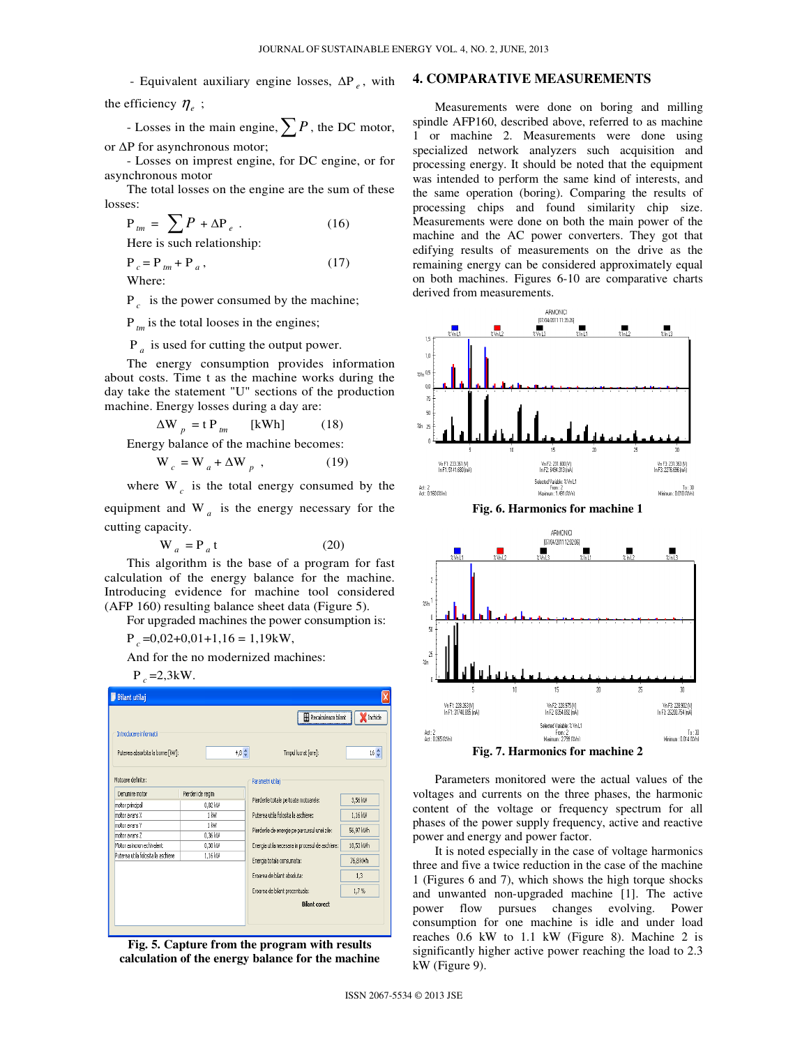- Equivalent auxiliary engine losses, ∆P *<sup>e</sup>* , with the efficiency  $\eta_e$ ;

- Losses in the main engine,∑*<sup>P</sup>* , the DC motor, or ∆P for asynchronous motor;

- Losses on imprest engine, for DC engine, or for asynchronous motor

The total losses on the engine are the sum of these losses:

$$
P_{lm} = \sum P + \Delta P_e
$$
 (16)

Here is such relationship:

$$
P_c = P_{tm} + P_a, \qquad (17)
$$

Where:

 $P_c$  is the power consumed by the machine;

P<sub>tm</sub> is the total looses in the engines;

 $P_a$  is used for cutting the output power.

The energy consumption provides information about costs. Time t as the machine works during the day take the statement "U" sections of the production machine. Energy losses during a day are:

$$
\Delta W_{p} = t P_{tm} \qquad [kWh] \qquad (18)
$$

Energy balance of the machine becomes:

$$
W_c = W_a + \Delta W_p , \qquad (19)
$$

where  $W_c$  is the total energy consumed by the

equipment and  $W_a$  is the energy necessary for the cutting capacity.

$$
W_a = P_a t \tag{20}
$$

This algorithm is the base of a program for fast calculation of the energy balance for the machine. Introducing evidence for machine tool considered (AFP 160) resulting balance sheet data (Figure 5).

For upgraded machines the power consumption is:

 $P_c = 0.02 + 0.01 + 1,16 = 1,19$ kW,

And for the no modernized machines:

 $P_c = 2.3$ kW.

| <b>Bilant utilaj</b>               |                   |                                                 |                 |
|------------------------------------|-------------------|-------------------------------------------------|-----------------|
| Recalculeaza bilant                |                   |                                                 | Inchide         |
| Introducere informatii             |                   |                                                 |                 |
| Puterea absorbita la borne [kW]:   | 4,8.2             | Timpul lucrat [ore]:                            | $16\frac{A}{V}$ |
| Motoare definite:                  |                   | Parametri utilaj                                |                 |
| Denumire motor                     | Pierderi de regim |                                                 |                 |
| motor principal                    | 0,82 kW           | Pierderile totale pe toate motoarele:           | 3,56 kW         |
| motor avans X                      | 1 kW              | Puterea utila folosita la aschiere:             | 1,16 kW         |
| motor avans Y                      | $1$ kW            | Pierderile de energie pe parcursul unei zile:   | 56,97 kWh       |
| motor avans Z                      | 0,36 kW           |                                                 |                 |
| Motor asincron echivalent          | 0,38 kW           | Energia utila necesara in procesul de aschiere: | 18,53 kWh       |
| Puterea utila folosita la aschiere | 1,16 kW           | Energia totala consumata:                       | 76.8 kWh        |
|                                    |                   | Eroarea de bilant absoluta:                     | 1,3             |
|                                    |                   | Eroarea de bilant procentuala:                  | 1,7%            |
|                                    |                   | <b>Bilant corect</b>                            |                 |
|                                    |                   |                                                 |                 |

**Fig. 5. Capture from the program with results calculation of the energy balance for the machine** 

### **4. COMPARATIVE MEASUREMENTS**

Measurements were done on boring and milling spindle AFP160, described above, referred to as machine 1 or machine 2. Measurements were done using specialized network analyzers such acquisition and processing energy. It should be noted that the equipment was intended to perform the same kind of interests, and the same operation (boring). Comparing the results of processing chips and found similarity chip size. Measurements were done on both the main power of the machine and the AC power converters. They got that edifying results of measurements on the drive as the remaining energy can be considered approximately equal on both machines. Figures 6-10 are comparative charts derived from measurements.



**Fig. 6. Harmonics for machine 1** 



**Fig. 7. Harmonics for machine 2** 

Parameters monitored were the actual values of the voltages and currents on the three phases, the harmonic content of the voltage or frequency spectrum for all phases of the power supply frequency, active and reactive power and energy and power factor.

It is noted especially in the case of voltage harmonics three and five a twice reduction in the case of the machine 1 (Figures 6 and 7), which shows the high torque shocks and unwanted non-upgraded machine [1]. The active power flow pursues changes evolving. Power consumption for one machine is idle and under load reaches 0.6 kW to 1.1 kW (Figure 8). Machine 2 is significantly higher active power reaching the load to 2.3 kW (Figure 9).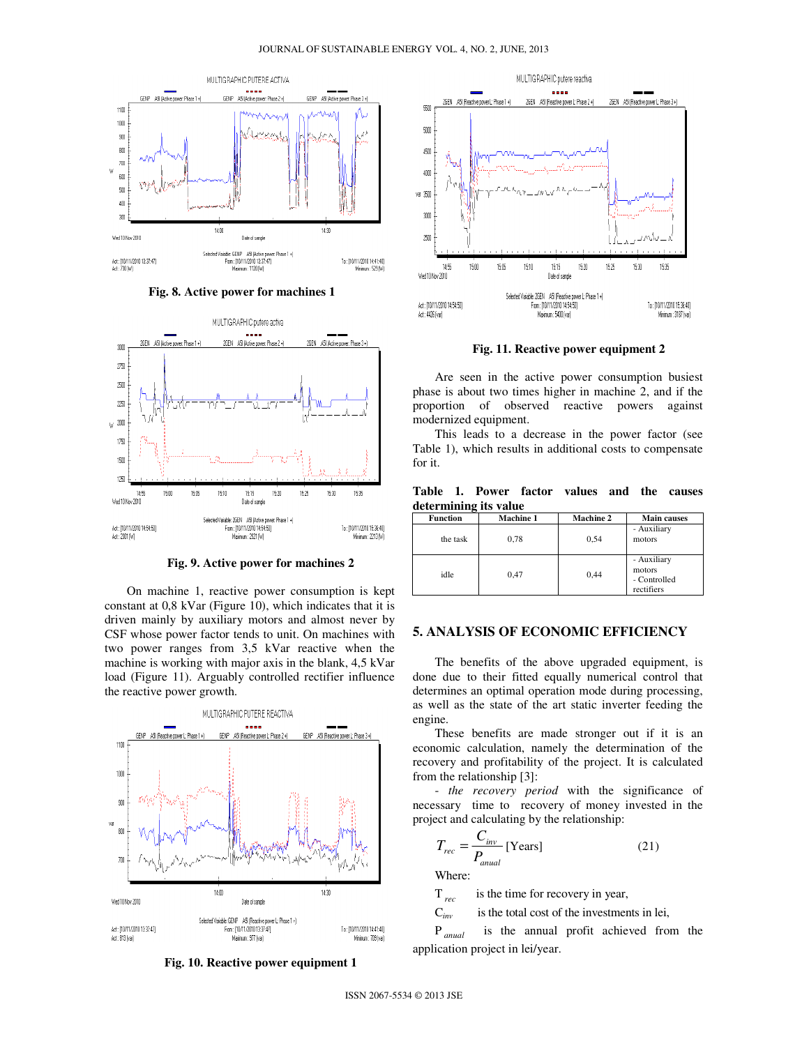

**Fig. 8. Active power for machines 1** 



**Fig. 9. Active power for machines 2** 

On machine 1, reactive power consumption is kept constant at 0,8 kVar (Figure 10), which indicates that it is driven mainly by auxiliary motors and almost never by CSF whose power factor tends to unit. On machines with two power ranges from 3,5 kVar reactive when the machine is working with major axis in the blank, 4,5 kVar load (Figure 11). Arguably controlled rectifier influence the reactive power growth.



**Fig. 10. Reactive power equipment 1** 



**Fig. 11. Reactive power equipment 2** 

Are seen in the active power consumption busiest phase is about two times higher in machine 2, and if the proportion of observed reactive powers against modernized equipment.

This leads to a decrease in the power factor (see Table 1), which results in additional costs to compensate for it.

**Table 1. Power factor values and the causes determining its value** 

| <b>Function</b> | <b>Machine 1</b> | <b>Machine 2</b> | <b>Main causes</b>                                  |
|-----------------|------------------|------------------|-----------------------------------------------------|
| the task        | 0.78             | 0,54             | - Auxiliary<br>motors                               |
| idle            | 0.47             | 0,44             | - Auxiliary<br>motors<br>- Controlled<br>rectifiers |

# **5. ANALYSIS OF ECONOMIC EFFICIENCY**

The benefits of the above upgraded equipment, is done due to their fitted equally numerical control that determines an optimal operation mode during processing, as well as the state of the art static inverter feeding the engine.

These benefits are made stronger out if it is an economic calculation, namely the determination of the recovery and profitability of the project. It is calculated from the relationship [3]:

- *the recovery period* with the significance of necessary time to recovery of money invested in the project and calculating by the relationship:

$$
T_{rec} = \frac{C_{inv}}{P_{anual}} \text{[Years]}
$$
 (21)

Where:

T<sub>rec</sub> is the time for recovery in year,

C*inv* is the total cost of the investments in lei,

P *anual* is the annual profit achieved from the application project in lei/year.